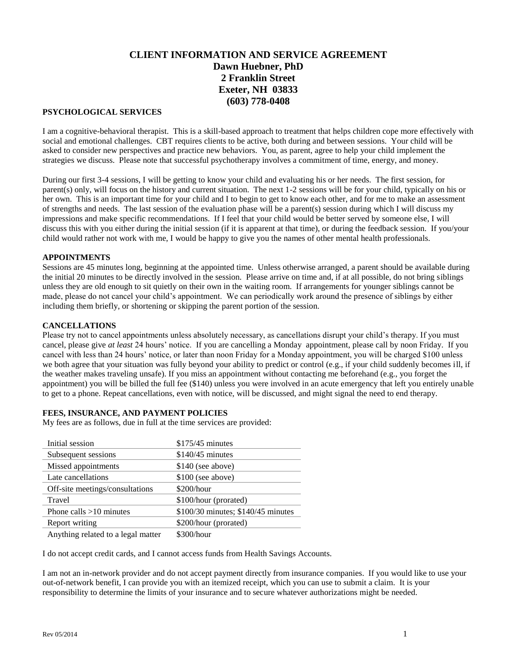# **CLIENT INFORMATION AND SERVICE AGREEMENT Dawn Huebner, PhD 2 Franklin Street Exeter, NH 03833 (603) 778-0408**

## **PSYCHOLOGICAL SERVICES**

I am a cognitive-behavioral therapist. This is a skill-based approach to treatment that helps children cope more effectively with social and emotional challenges. CBT requires clients to be active, both during and between sessions. Your child will be asked to consider new perspectives and practice new behaviors. You, as parent, agree to help your child implement the strategies we discuss. Please note that successful psychotherapy involves a commitment of time, energy, and money.

During our first 3-4 sessions, I will be getting to know your child and evaluating his or her needs. The first session, for parent(s) only, will focus on the history and current situation. The next 1-2 sessions will be for your child, typically on his or her own. This is an important time for your child and I to begin to get to know each other, and for me to make an assessment of strengths and needs. The last session of the evaluation phase will be a parent(s) session during which I will discuss my impressions and make specific recommendations. If I feel that your child would be better served by someone else, I will discuss this with you either during the initial session (if it is apparent at that time), or during the feedback session. If you/your child would rather not work with me, I would be happy to give you the names of other mental health professionals.

#### **APPOINTMENTS**

Sessions are 45 minutes long, beginning at the appointed time. Unless otherwise arranged, a parent should be available during the initial 20 minutes to be directly involved in the session. Please arrive on time and, if at all possible, do not bring siblings unless they are old enough to sit quietly on their own in the waiting room. If arrangements for younger siblings cannot be made, please do not cancel your child's appointment. We can periodically work around the presence of siblings by either including them briefly, or shortening or skipping the parent portion of the session.

#### **CANCELLATIONS**

Please try not to cancel appointments unless absolutely necessary, as cancellations disrupt your child's therapy. If you must cancel, please give *at least* 24 hours' notice. If you are cancelling a Monday appointment, please call by noon Friday. If you cancel with less than 24 hours' notice, or later than noon Friday for a Monday appointment, you will be charged \$100 unless we both agree that your situation was fully beyond your ability to predict or control (e.g., if your child suddenly becomes ill, if the weather makes traveling unsafe). If you miss an appointment without contacting me beforehand (e.g., you forget the appointment) you will be billed the full fee (\$140) unless you were involved in an acute emergency that left you entirely unable to get to a phone. Repeat cancellations, even with notice, will be discussed, and might signal the need to end therapy.

## **FEES, INSURANCE, AND PAYMENT POLICIES**

My fees are as follows, due in full at the time services are provided:

| Initial session                    | $$175/45$ minutes                  |
|------------------------------------|------------------------------------|
| Subsequent sessions                | $$140/45$ minutes                  |
| Missed appointments                | $$140$ (see above)                 |
| Late cancellations                 | \$100 (see above)                  |
| Off-site meetings/consultations    | \$200/hour                         |
| Travel                             | \$100/hour (prorated)              |
| Phone calls $>10$ minutes          | \$100/30 minutes; \$140/45 minutes |
| Report writing                     | \$200/hour (prorated)              |
| Anything related to a legal matter | \$300/hour                         |

I do not accept credit cards, and I cannot access funds from Health Savings Accounts.

I am not an in-network provider and do not accept payment directly from insurance companies. If you would like to use your out-of-network benefit, I can provide you with an itemized receipt, which you can use to submit a claim. It is your responsibility to determine the limits of your insurance and to secure whatever authorizations might be needed.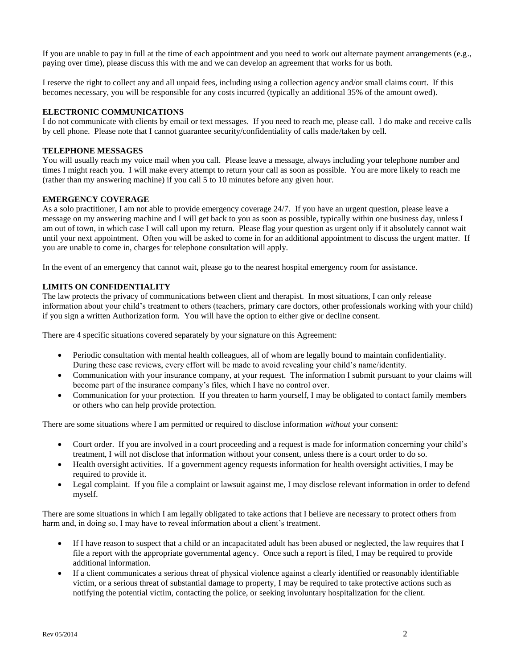If you are unable to pay in full at the time of each appointment and you need to work out alternate payment arrangements (e.g., paying over time), please discuss this with me and we can develop an agreement that works for us both.

I reserve the right to collect any and all unpaid fees, including using a collection agency and/or small claims court. If this becomes necessary, you will be responsible for any costs incurred (typically an additional 35% of the amount owed).

## **ELECTRONIC COMMUNICATIONS**

I do not communicate with clients by email or text messages. If you need to reach me, please call. I do make and receive calls by cell phone. Please note that I cannot guarantee security/confidentiality of calls made/taken by cell.

#### **TELEPHONE MESSAGES**

You will usually reach my voice mail when you call. Please leave a message, always including your telephone number and times I might reach you. I will make every attempt to return your call as soon as possible. You are more likely to reach me (rather than my answering machine) if you call 5 to 10 minutes before any given hour.

#### **EMERGENCY COVERAGE**

As a solo practitioner, I am not able to provide emergency coverage 24/7. If you have an urgent question, please leave a message on my answering machine and I will get back to you as soon as possible, typically within one business day, unless I am out of town, in which case I will call upon my return. Please flag your question as urgent only if it absolutely cannot wait until your next appointment. Often you will be asked to come in for an additional appointment to discuss the urgent matter. If you are unable to come in, charges for telephone consultation will apply.

In the event of an emergency that cannot wait, please go to the nearest hospital emergency room for assistance.

## **LIMITS ON CONFIDENTIALITY**

The law protects the privacy of communications between client and therapist. In most situations, I can only release information about your child's treatment to others (teachers, primary care doctors, other professionals working with your child) if you sign a written Authorization form. You will have the option to either give or decline consent.

There are 4 specific situations covered separately by your signature on this Agreement:

- Periodic consultation with mental health colleagues, all of whom are legally bound to maintain confidentiality. During these case reviews, every effort will be made to avoid revealing your child's name/identity.
- Communication with your insurance company, at your request. The information I submit pursuant to your claims will become part of the insurance company's files, which I have no control over.
- Communication for your protection. If you threaten to harm yourself, I may be obligated to contact family members or others who can help provide protection.

There are some situations where I am permitted or required to disclose information *without* your consent:

- Court order. If you are involved in a court proceeding and a request is made for information concerning your child's treatment, I will not disclose that information without your consent, unless there is a court order to do so.
- Health oversight activities. If a government agency requests information for health oversight activities, I may be required to provide it.
- Legal complaint. If you file a complaint or lawsuit against me, I may disclose relevant information in order to defend myself.

There are some situations in which I am legally obligated to take actions that I believe are necessary to protect others from harm and, in doing so, I may have to reveal information about a client's treatment.

- If I have reason to suspect that a child or an incapacitated adult has been abused or neglected, the law requires that I file a report with the appropriate governmental agency. Once such a report is filed, I may be required to provide additional information.
- If a client communicates a serious threat of physical violence against a clearly identified or reasonably identifiable victim, or a serious threat of substantial damage to property, I may be required to take protective actions such as notifying the potential victim, contacting the police, or seeking involuntary hospitalization for the client.